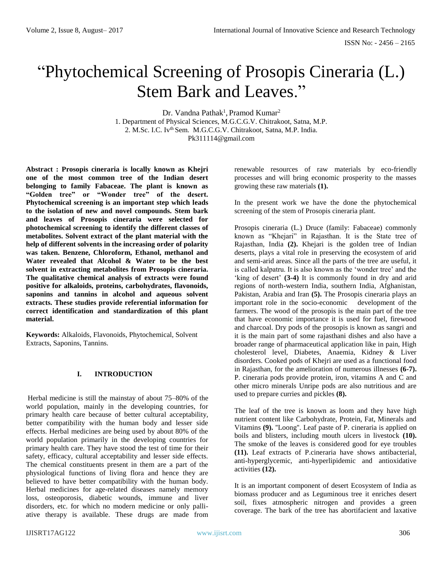# "Phytochemical Screening of Prosopis Cineraria (L.) Stem Bark and Leaves."

Dr. Vandna Pathak<sup>1</sup>, Pramod Kumar<sup>2</sup> 1. Department of Physical Sciences, M.G.C.G.V. Chitrakoot, Satna, M.P. 2. M.Sc. I.C. Iv<sup>th</sup> Sem. M.G.C.G.V. Chitrakoot, Satna, M.P. India. [Pk311114@gmail.com](mailto:Pk311114@gmail.com)

**Abstract : Prosopis cineraria is locally known as Khejri one of the most common tree of the Indian desert belonging to family Fabaceae. The plant is known as "Golden tree" or "Wonder tree" of the desert. Phytochemical screening is an important step which leads to the isolation of new and novel compounds. Stem bark and leaves of Prosopis cineraria were selected for photochemical screening to identify the different classes of metabolites. Solvent extract of the plant material with the help of different solvents in the increasing order of polarity was taken. Benzene, Chloroform, Ethanol, methanol and Water revealed that Alcohol & Water to be the best solvent in extracting metabolites from Prosopis cineraria. The qualitative chemical analysis of extracts were found positive for alkaloids, proteins, carbohydrates, flavonoids, saponins and tannins in alcohol and aqueous solvent extracts. These studies provide referential information for correct identification and standardization of this plant material.** 

**Keywords:** Alkaloids, Flavonoids, Phytochemical, Solvent Extracts, Saponins, Tannins.

# **I. INTRODUCTION**

Herbal medicine is still the mainstay of about 75–80% of the world population, mainly in the developing countries, for primary health care because of better cultural acceptability, better compatibility with the human body and lesser side effects. Herbal medicines are being used by about 80% of the world population primarily in the developing countries for primary health care. They have stood the test of time for their safety, efficacy, cultural acceptability and lesser side effects. The chemical constituents present in them are a part of the physiological functions of living flora and hence they are believed to have better compatibility with the human body. Herbal medicines for age-related diseases namely memory loss, osteoporosis, diabetic wounds, immune and liver disorders, etc. for which no modern medicine or only palliative therapy is available. These drugs are made from renewable resources of raw materials by eco-friendly processes and will bring economic prosperity to the masses growing these raw materials **(1).**

In the present work we have the done the phytochemical screening of the stem of Prosopis cineraria plant.

Prosopis cineraria (L.) Druce (family: Fabaceae) commonly known as "Khejari" in Rajasthan. It is the State tree of Rajasthan, India **(2).** Khejari is the golden tree of Indian deserts, plays a vital role in preserving the ecosystem of arid and semi-arid areas. Since all the parts of the tree are useful, it is called kalpatru. It is also known as the 'wonder tree' and the 'king of desert' **(3-4)** It is commonly found in dry and arid regions of north-western India, southern India, Afghanistan, Pakistan, Arabia and Iran **(5).** The Prosopis cineraria plays an important role in the socio-economic development of the farmers. The wood of the prosopis is the main part of the tree that have economic importance it is used for fuel, firewood and charcoal. Dry pods of the prosopis is known as sangri and it is the main part of some rajasthani dishes and also have a broader range of pharmaceutical application like in pain, High cholesterol level, Diabetes, Anaemia, Kidney & Liver disorders. Cooked pods of Khejri are used as a functional food in Rajasthan, for the amelioration of numerous illnesses **(6-7).** P. cineraria pods provide protein, iron, vitamins A and C and other micro minerals Unripe pods are also nutritious and are used to prepare curries and pickles **(8).**

The leaf of the tree is known as loom and they have high nutrient content like Carbohydrate, Protein, Fat, Minerals and Vitamins **(9).** ''Loong''. Leaf paste of P. cineraria is applied on boils and blisters, including mouth ulcers in livestock **(10).** The smoke of the leaves is considered good for eye troubles **(11).** Leaf extracts of P.cineraria have shows antibacterial, anti-hyperglycemic, anti-hyperlipidemic and antioxidative activities **(12).**

It is an important component of desert Ecosystem of India as biomass producer and as Leguminous tree it enriches desert soil, fixes atmospheric nitrogen and provides a green coverage. The bark of the tree has abortifacient and laxative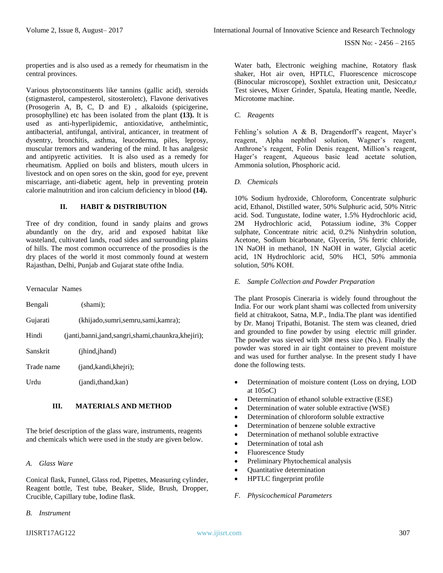properties and is also used as a remedy for rheumatism in the central provinces.

Various phytoconstituents like tannins (gallic acid), steroids (stigmasterol, campesterol, sitosteroletc), Flavone derivatives (Prosogerin A, B, C, D and E) , alkaloids (spicigerine, prosophylline) etc has been isolated from the plant **(13).** It is used as anti-hyperlipidemic, antioxidative, anthelmintic, antibacterial, antifungal, antiviral, anticancer, in treatment of dysentry, bronchitis, asthma, leucoderma, piles, leprosy, muscular tremors and wandering of the mind. It has analgesic and antipyretic activities. It is also used as a remedy for rheumatism. Applied on boils and blisters, mouth ulcers in livestock and on open sores on the skin, good for eye, prevent miscarriage, anti-diabetic agent, help in preventing protein calorie malnutrition and iron calcium deficiency in blood **(14).**

# **II. HABIT & DISTRIBUTION**

Tree of dry condition, found in sandy plains and grows abundantly on the dry, arid and exposed habitat like wasteland, cultivated lands, road sides and surrounding plains of hills. The most common occurrence of the prosodies is the dry places of the world it most commonly found at western Rajasthan, Delhi, Punjab and Gujarat state ofthe India.

Vernacular Names

| Bengali    | (shami):                                          |
|------------|---------------------------------------------------|
| Gujarati   | (khijado,sumri,semru,sami,kamra);                 |
| Hindi      | (janti,banni,jand,sangri,shami,chaunkra,khejiri); |
| Sanskrit   | $(i$ hind, $j$ hand)                              |
| Trade name | (iand, kandi, kheiri);                            |
| Urdu       | (jandi,thand,kan)                                 |

# **III. MATERIALS AND METHOD**

The brief description of the glass ware, instruments, reagents and chemicals which were used in the study are given below.

### *A. Glass Ware*

Conical flask, Funnel, Glass rod, Pipettes, Measuring cylinder, Reagent bottle, Test tube, Beaker, Slide, Brush, Dropper, Crucible, Capillary tube, Iodine flask.

*B. Instrument*

#### *C. Reagents*

Fehling's solution A & B, Dragendorff's reagent, Mayer's reagent, Alpha nephthol solution, Wagner's reagent, Anthrone's reagent, Folin Denis reagent, Million's reagent, Hager's reagent, Aqueous basic lead acetate solution, Ammonia solution, Phosphoric acid.

*D. Chemicals*

10% Sodium hydroxide, Chloroform, Concentrate sulphuric acid, Ethanol, Distilled water, 50% Sulphuric acid, 50% Nitric acid. Sod. Tungustate, Iodine water, 1.5% Hydrochloric acid, 2M Hydrochloric acid, Potassium iodine, 3% Copper sulphate, Concentrate nitric acid, 0.2% Ninhydrin solution, Acetone, Sodium bicarbonate, Glycerin, 5% ferric chloride, 1N NaOH in methanol, 1N NaOH in water, Glycial acetic acid, 1N Hydrochloric acid, 50% HCl, 50% ammonia solution, 50% KOH.

#### *E. Sample Collection and Powder Preparation*

The plant Prosopis Cineraria is widely found throughout the India. For our work plant shami was collected from university field at chitrakoot, Satna, M.P., India.The plant was identified by Dr. Manoj Tripathi, Botanist. The stem was cleaned, dried and grounded to fine powder by using electric mill grinder. The powder was sieved with 30# mess size (No.). Finally the powder was stored in air tight container to prevent moisture and was used for further analyse. In the present study I have done the following tests.

- Determination of moisture content (Loss on drying, LOD at 105oC)
- Determination of ethanol soluble extractive (ESE)
- Determination of water soluble extractive (WSE)
- Determination of chloroform soluble extractive
- Determination of benzene soluble extractive
- Determination of methanol soluble extractive
- Determination of total ash
- Fluorescence Study
- Preliminary Phytochemical analysis
- Quantitative determination
- HPTLC fingerprint profile
- *F. Physicochemical Parameters*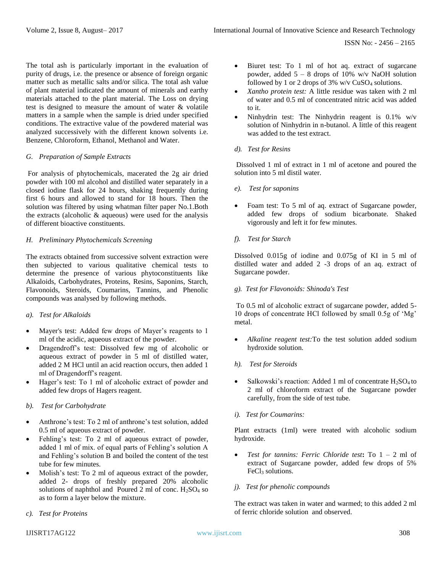The total ash is particularly important in the evaluation of purity of drugs, i.e. the presence or absence of foreign organic matter such as metallic salts and/or silica. The total ash value of plant material indicated the amount of minerals and earthy materials attached to the plant material. The Loss on drying test is designed to measure the amount of water & volatile matters in a sample when the sample is dried under specified conditions. The extractive value of the powdered material was analyzed successively with the different known solvents i.e. Benzene, Chloroform, Ethanol, Methanol and Water.

#### *G. Preparation of Sample Extracts*

For analysis of phytochemicals, macerated the 2g air dried powder with 100 ml alcohol and distilled water separately in a closed iodine flask for 24 hours, shaking frequently during first 6 hours and allowed to stand for 18 hours. Then the solution was filtered by using whatman filter paper No.1.Both the extracts (alcoholic & aqueous) were used for the analysis of different bioactive constituents.

#### *H. Preliminary Phytochemicals Screening*

The extracts obtained from successive solvent extraction were then subjected to various qualitative chemical tests to determine the presence of various phytoconstituents like Alkaloids, Carbohydrates, Proteins, Resins, Saponins, Starch, Flavonoids, Steroids, Coumarins, Tannins, and Phenolic compounds was analysed by following methods.

#### *a). Test for Alkaloids*

- Mayer's test: Added few drops of Mayer's reagents to 1 ml of the acidic, aqueous extract of the powder.
- Dragendroff's test: Dissolved few mg of alcoholic or aqueous extract of powder in 5 ml of distilled water, added 2 M HCl until an acid reaction occurs, then added 1 ml of Dragendorff's reagent.
- Hager's test: To 1 ml of alcoholic extract of powder and added few drops of Hagers reagent.

#### *b). Test for Carbohydrate*

- Anthrone's test: To 2 ml of anthrone's test solution, added 0.5 ml of aqueous extract of powder.
- Fehling's test: To 2 ml of aqueous extract of powder, added 1 ml of mix. of equal parts of Fehling's solution A and Fehling's solution B and boiled the content of the test tube for few minutes.
- Molish's test: To 2 ml of aqueous extract of the powder, added 2- drops of freshly prepared 20% alcoholic solutions of naphthol and Poured  $2$  ml of conc.  $H<sub>2</sub>SO<sub>4</sub>$  so as to form a layer below the mixture.
- *c). Test for Proteins*
- Biuret test: To 1 ml of hot aq. extract of sugarcane powder, added  $5 - 8$  drops of 10% w/v NaOH solution followed by 1 or 2 drops of 3% w/v  $CuSO<sub>4</sub>$  solutions.
- *Xantho protein test:* A little residue was taken with 2 ml of water and 0.5 ml of concentrated nitric acid was added to it.
- Ninhydrin test: The Ninhydrin reagent is 0.1% w/v solution of Ninhydrin in n-butanol. A little of this reagent was added to the test extract.

#### *d). Test for Resins*

Dissolved 1 ml of extract in 1 ml of acetone and poured the solution into 5 ml distil water.

- *e). Test for saponins*
- Foam test: To 5 ml of aq. extract of Sugarcane powder, added few drops of sodium bicarbonate. Shaked vigorously and left it for few minutes.

# *f). Test for Starch*

Dissolved 0.015g of iodine and 0.075g of KI in 5 ml of distilled water and added 2 -3 drops of an aq. extract of Sugarcane powder.

#### *g). Test for Flavonoids: Shinoda's Test*

To 0.5 ml of alcoholic extract of sugarcane powder, added 5- 10 drops of concentrate HCl followed by small 0.5g of 'Mg' metal.

- *Alkaline reagent test:*To the test solution added sodium hydroxide solution.
- *h). Test for Steroids*
- Salkowski's reaction: Added 1 ml of concentrate  $H_2SO_4$  to 2 ml of chloroform extract of the Sugarcane powder carefully, from the side of test tube.
- *i). Test for Coumarins:*

Plant extracts (1ml) were treated with alcoholic sodium hydroxide.

• *Test for tannins: Ferric Chloride test***:** To 1 – 2 ml of extract of Sugarcane powder, added few drops of 5% FeCl<sub>3</sub> solutions.

#### *j). Test for phenolic compounds*

The extract was taken in water and warmed; to this added 2 ml of ferric chloride solution and observed.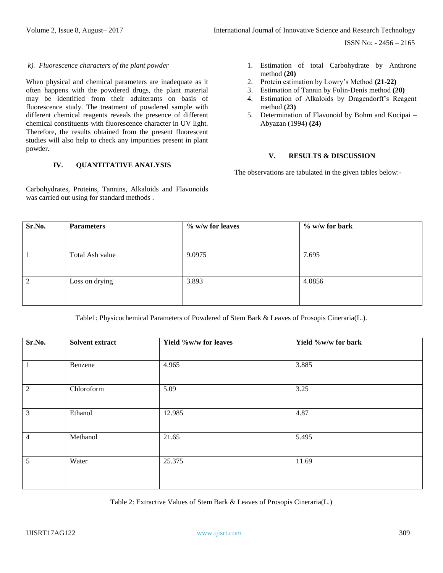ISSN No: - 2456 – 2165

#### *k). Fluorescence characters of the plant powder*

When physical and chemical parameters are inadequate as it often happens with the powdered drugs, the plant material may be identified from their adulterants on basis of fluorescence study. The treatment of powdered sample with different chemical reagents reveals the presence of different chemical constituents with fluorescence character in UV light. Therefore, the results obtained from the present fluorescent studies will also help to check any impurities present in plant powder.

### **IV. QUANTITATIVE ANALYSIS**

Carbohydrates, Proteins, Tannins, Alkaloids and Flavonoids was carried out using for standard methods .

- 1. Estimation of total Carbohydrate by Anthrone method **(20)**
- 2. Protein estimation by Lowry's Method **(21-22)**
- 3. Estimation of Tannin by Folin-Denis method **(20)**
- 4. Estimation of Alkaloids by Dragendorff's Reagent method **(23)**
- 5. Determination of Flavonoid by Bohm and Kocipai Abyazan (1994) **(24)**

# **V. RESULTS & DISCUSSION**

The observations are tabulated in the given tables below:-

| Sr.No. | <b>Parameters</b> | % w/w for leaves | $\%$ w/w for bark |
|--------|-------------------|------------------|-------------------|
|        |                   |                  |                   |
|        | Total Ash value   | 9.0975           | 7.695             |
| っ      | Loss on drying    | 3.893            | 4.0856            |

Table1: Physicochemical Parameters of Powdered of Stem Bark & Leaves of Prosopis Cineraria(L.).

| Sr.No.         | Solvent extract | Yield %w/w for leaves | Yield %w/w for bark |
|----------------|-----------------|-----------------------|---------------------|
| $\mathbf{1}$   | Benzene         | 4.965                 | 3.885               |
| 2              | Chloroform      | 5.09                  | 3.25                |
| $\overline{3}$ | Ethanol         | 12.985                | 4.87                |
| $\overline{4}$ | Methanol        | 21.65                 | 5.495               |
| $\mathfrak{S}$ | Water           | 25.375                | 11.69               |

Table 2: Extractive Values of Stem Bark & Leaves of Prosopis Cineraria(L.)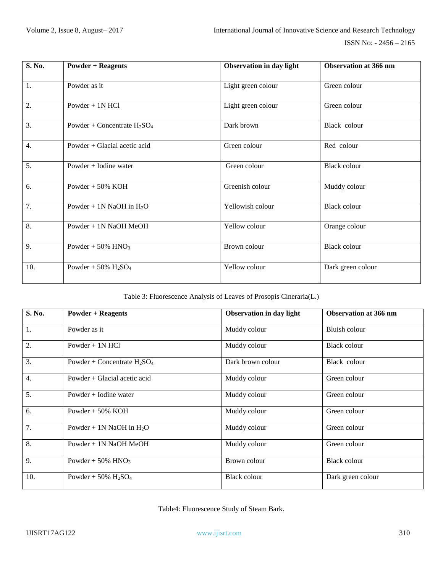| S. No. | <b>Powder + Reagents</b>                       | Observation in day light | <b>Observation at 366 nm</b> |
|--------|------------------------------------------------|--------------------------|------------------------------|
| 1.     | Powder as it                                   | Light green colour       | Green colour                 |
| 2.     | Powder $+$ 1N HCl                              | Light green colour       | Green colour                 |
| 3.     | Powder + Concentrate $H_2SO_4$                 | Dark brown               | Black colour                 |
| 4.     | Powder + Glacial acetic acid                   | Green colour             | Red colour                   |
| 5.     | Powder $+$ Iodine water                        | Green colour             | Black colour                 |
| 6.     | Powder $+50\%$ KOH                             | Greenish colour          | Muddy colour                 |
| 7.     | Powder + 1N NaOH in $H_2O$                     | Yellowish colour         | <b>Black colour</b>          |
| 8.     | Powder + 1N NaOH MeOH                          | Yellow colour            | Orange colour                |
| 9.     | Powder + $50\%$ HNO <sub>3</sub>               | Brown colour             | Black colour                 |
| 10.    | Powder + $50\%$ H <sub>2</sub> SO <sub>4</sub> | Yellow colour            | Dark green colour            |

Table 3: Fluorescence Analysis of Leaves of Prosopis Cineraria(L.)

| S. No. | <b>Powder + Reagents</b>                       | <b>Observation in day light</b> | <b>Observation at 366 nm</b> |
|--------|------------------------------------------------|---------------------------------|------------------------------|
| 1.     | Powder as it                                   | Muddy colour                    | Bluish colour                |
| 2.     | Powder $+$ 1N HCl                              | Muddy colour                    | <b>Black colour</b>          |
| 3.     | Powder + Concentrate $H_2SO_4$                 | Dark brown colour               | Black colour                 |
| 4.     | Powder + Glacial acetic acid                   | Muddy colour                    | Green colour                 |
| 5.     | Powder $+$ Iodine water                        | Muddy colour                    | Green colour                 |
| 6.     | Powder $+50\%$ KOH                             | Muddy colour                    | Green colour                 |
| 7.     | Powder + 1N NaOH in $H_2O$                     | Muddy colour                    | Green colour                 |
| 8.     | Powder + 1N NaOH MeOH                          | Muddy colour                    | Green colour                 |
| 9.     | Powder + $50\%$ HNO <sub>3</sub>               | Brown colour                    | <b>Black colour</b>          |
| 10.    | Powder + $50\%$ H <sub>2</sub> SO <sub>4</sub> | <b>Black colour</b>             | Dark green colour            |

Table4: Fluorescence Study of Steam Bark.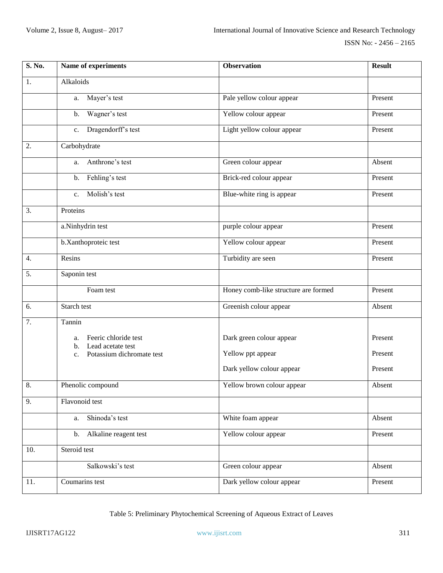| S. No. | Name of experiments                                   | <b>Observation</b>                   | <b>Result</b> |
|--------|-------------------------------------------------------|--------------------------------------|---------------|
| 1.     | Alkaloids                                             |                                      |               |
|        | Mayer's test<br>a.                                    | Pale yellow colour appear            | Present       |
|        | Wagner's test<br>b.                                   | Yellow colour appear                 | Present       |
|        | Dragendorff's test<br>c.                              | Light yellow colour appear           | Present       |
| 2.     | Carbohydrate                                          |                                      |               |
|        | Anthrone's test<br>a.                                 | Green colour appear                  | Absent        |
|        | Fehling's test<br>b.                                  | Brick-red colour appear              | Present       |
|        | Molish's test<br>$c_{\cdot}$                          | Blue-white ring is appear            | Present       |
| 3.     | Proteins                                              |                                      |               |
|        | a.Ninhydrin test                                      | purple colour appear                 | Present       |
|        | b.Xanthoproteic test                                  | Yellow colour appear                 | Present       |
| 4.     | Resins                                                | Turbidity are seen                   | Present       |
| 5.     | Saponin test                                          |                                      |               |
|        | Foam test                                             | Honey comb-like structure are formed | Present       |
| 6.     | Starch test                                           | Greenish colour appear               | Absent        |
| 7.     | Tannin                                                |                                      |               |
|        | Feeric chloride test<br>a.<br>Lead acetate test<br>b. | Dark green colour appear             | Present       |
|        | Potassium dichromate test<br>$c_{\cdot}$              | Yellow ppt appear                    | Present       |
|        |                                                       | Dark yellow colour appear            | Present       |
| 8.     | Phenolic compound                                     | Yellow brown colour appear           | Absent        |
| 9.     | Flavonoid test                                        |                                      |               |
|        | Shinoda's test<br>a.                                  | White foam appear                    | Absent        |
|        | Alkaline reagent test<br>b.                           | Yellow colour appear                 | Present       |
| 10.    | Steroid test                                          |                                      |               |
|        | Salkowski's test                                      | Green colour appear                  | Absent        |
| 11.    | Coumarins test                                        | Dark yellow colour appear            | Present       |

Table 5: Preliminary Phytochemical Screening of Aqueous Extract of Leaves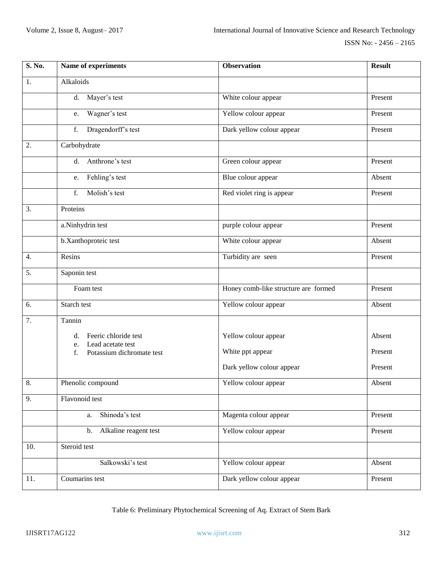| S. No.           | Name of experiments                                   | <b>Observation</b>                   | <b>Result</b> |
|------------------|-------------------------------------------------------|--------------------------------------|---------------|
| 1.               | Alkaloids                                             |                                      |               |
|                  | Mayer's test<br>d.                                    | White colour appear                  | Present       |
|                  | Wagner's test<br>e.                                   | Yellow colour appear                 | Present       |
|                  | Dragendorff's test<br>f.                              | Dark yellow colour appear            | Present       |
| 2.               | Carbohydrate                                          |                                      |               |
|                  | d. Anthrone's test                                    | Green colour appear                  | Present       |
|                  | Fehling's test<br>e.                                  | Blue colour appear                   | Absent        |
|                  | Molish's test<br>f.                                   | Red violet ring is appear            | Present       |
| 3.               | Proteins                                              |                                      |               |
|                  | a.Ninhydrin test                                      | purple colour appear                 | Present       |
|                  | b.Xanthoproteic test                                  | White colour appear                  | Absent        |
| $\overline{4}$ . | Resins                                                | Turbidity are seen                   | Present       |
| 5.               | Saponin test                                          |                                      |               |
|                  | Foam test                                             | Honey comb-like structure are formed | Present       |
| 6.               | Starch test                                           | Yellow colour appear                 | Absent        |
| 7.               | Tannin                                                |                                      |               |
|                  | Feeric chloride test<br>d.<br>Lead acetate test<br>e. | Yellow colour appear                 | Absent        |
|                  | Potassium dichromate test<br>$f_{\cdot}$              | White ppt appear                     | Present       |
|                  |                                                       | Dark yellow colour appear            | Present       |
| 8.               | Phenolic compound                                     | Yellow colour appear                 | Absent        |
| 9.               | Flavonoid test                                        |                                      |               |
|                  | Shinoda's test<br>a.                                  | Magenta colour appear                | Present       |
|                  | Alkaline reagent test<br>b.                           | Yellow colour appear                 | Present       |
| 10.              | Steroid test                                          |                                      |               |
|                  | Salkowski's test                                      | Yellow colour appear                 | Absent        |
| 11.              | Coumarins test                                        | Dark yellow colour appear            | Present       |

Table 6: Preliminary Phytochemical Screening of Aq. Extract of Stem Bark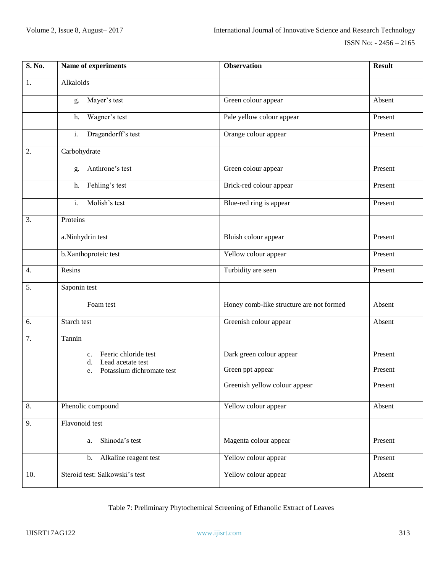| S. No.           | Name of experiments                             | <b>Observation</b>                       | <b>Result</b> |
|------------------|-------------------------------------------------|------------------------------------------|---------------|
| 1.               | Alkaloids                                       |                                          |               |
|                  | Mayer's test<br>g.                              | Green colour appear                      | Absent        |
|                  | Wagner's test<br>h.                             | Pale yellow colour appear                | Present       |
|                  | Dragendorff's test<br>$i$ .                     | Orange colour appear                     | Present       |
| 2.               | Carbohydrate                                    |                                          |               |
|                  | Anthrone's test<br>g.                           | Green colour appear                      | Present       |
|                  | Fehling's test<br>h.                            | Brick-red colour appear                  | Present       |
|                  | Molish's test<br>$i$ .                          | Blue-red ring is appear                  | Present       |
| 3.               | Proteins                                        |                                          |               |
|                  | a.Ninhydrin test                                | Bluish colour appear                     | Present       |
|                  | b.Xanthoproteic test                            | Yellow colour appear                     | Present       |
| $\overline{4}$ . | Resins                                          | Turbidity are seen                       | Present       |
| 5.               | Saponin test                                    |                                          |               |
|                  | Foam test                                       | Honey comb-like structure are not formed | Absent        |
| 6.               | Starch test                                     | Greenish colour appear                   | Absent        |
| 7.               | Tannin                                          |                                          |               |
|                  | Feeric chloride test<br>c.<br>Lead acetate test | Dark green colour appear                 | Present       |
|                  | d.<br>Potassium dichromate test<br>e.           | Green ppt appear                         | Present       |
|                  |                                                 | Greenish yellow colour appear            | Present       |
| 8.               | Phenolic compound                               | Yellow colour appear                     | Absent        |
| 9.               | Flavonoid test                                  |                                          |               |
|                  | Shinoda's test<br>a.                            | Magenta colour appear                    | Present       |
|                  | Alkaline reagent test<br>b.                     | Yellow colour appear                     | Present       |
| 10.              | Steroid test: Salkowski's test                  | Yellow colour appear                     | Absent        |

Table 7: Preliminary Phytochemical Screening of Ethanolic Extract of Leaves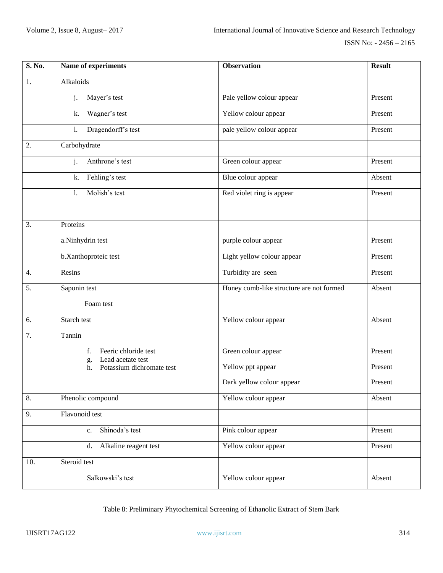| S. No.           | Name of experiments                             | <b>Observation</b>                       | <b>Result</b> |
|------------------|-------------------------------------------------|------------------------------------------|---------------|
| 1.               | Alkaloids                                       |                                          |               |
|                  | Mayer's test<br>j.                              | Pale yellow colour appear                | Present       |
|                  | Wagner's test<br>k.                             | Yellow colour appear                     | Present       |
|                  | Dragendorff's test<br>1.                        | pale yellow colour appear                | Present       |
| 2.               | Carbohydrate                                    |                                          |               |
|                  | $\mathbf{i}$ .<br>Anthrone's test               | Green colour appear                      | Present       |
|                  | Fehling's test<br>k.                            | Blue colour appear                       | Absent        |
|                  | Molish's test<br>$\mathbf{1}$ .                 | Red violet ring is appear                | Present       |
|                  |                                                 |                                          |               |
| 3.               | Proteins                                        |                                          |               |
|                  | a.Ninhydrin test                                | purple colour appear                     | Present       |
|                  | b.Xanthoproteic test                            | Light yellow colour appear               | Present       |
| $\overline{4}$ . | Resins                                          | Turbidity are seen                       | Present       |
| 5.               | Saponin test                                    | Honey comb-like structure are not formed | Absent        |
|                  | Foam test                                       |                                          |               |
| 6.               | Starch test                                     | Yellow colour appear                     | Absent        |
| 7.               | Tannin                                          |                                          |               |
|                  | Feeric chloride test<br>f.<br>Lead acetate test | Green colour appear                      | Present       |
|                  | g.<br>Potassium dichromate test<br>h.           | Yellow ppt appear                        | Present       |
|                  |                                                 | Dark yellow colour appear                | Present       |
| 8.               | Phenolic compound                               | Yellow colour appear                     | Absent        |
| 9.               | Flavonoid test                                  |                                          |               |
|                  | Shinoda's test<br>$c_{\cdot}$                   | Pink colour appear                       | Present       |
|                  | Alkaline reagent test<br>d.                     | Yellow colour appear                     | Present       |
| 10.              | Steroid test                                    |                                          |               |
|                  | Salkowski's test                                | Yellow colour appear                     | Absent        |

Table 8: Preliminary Phytochemical Screening of Ethanolic Extract of Stem Bark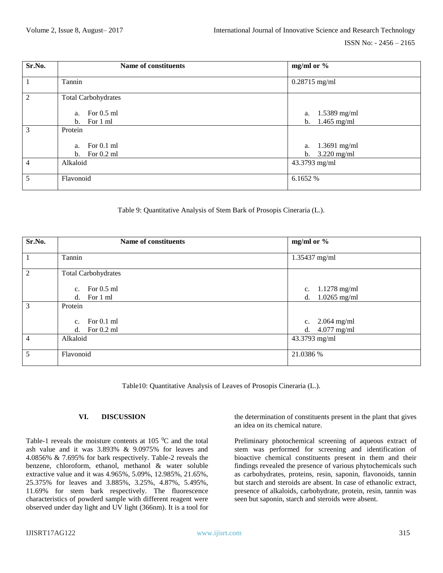| Sr.No.         | <b>Name of constituents</b> | mg/ml or $\%$        |
|----------------|-----------------------------|----------------------|
|                | Tannin                      | $0.28715$ mg/ml      |
| $\overline{2}$ | <b>Total Carbohydrates</b>  |                      |
|                | a. For $0.5$ ml             | $1.5389$ mg/ml<br>a. |
|                | For 1 ml<br>$b_{1}$         | b. $1.465$ mg/ml     |
| 3              | Protein                     |                      |
|                | a. For $0.1$ ml             | a. 1.3691 mg/ml      |
|                | b. For $0.2$ ml             | $3.220$ mg/ml<br>b.  |
| $\overline{4}$ | Alkaloid                    | 43.3793 mg/ml        |
| 5              | Flavonoid                   | 6.1652 %             |

Table 9: Quantitative Analysis of Stem Bark of Prosopis Cineraria (L.).

| Sr.No.         | <b>Name of constituents</b>    | mg/ml or $\%$        |
|----------------|--------------------------------|----------------------|
| $\mathbf{1}$   | Tannin                         | 1.35437 mg/ml        |
| $\overline{2}$ | <b>Total Carbohydrates</b>     |                      |
|                | For $0.5$ ml<br>$c_{\cdot}$    | $1.1278$ mg/ml<br>c. |
|                | For 1 ml<br>d.                 | $1.0265$ mg/ml<br>d. |
| 3              | Protein                        |                      |
|                | For $0.1$ ml<br>C <sub>1</sub> | c. $2.064$ mg/ml     |
|                | For $0.2$ ml<br>d.             | d. $4.077$ mg/ml     |
| $\overline{4}$ | Alkaloid                       | 43.3793 mg/ml        |
| 5              | Flavonoid                      | 21.0386 %            |

Table10: Quantitative Analysis of Leaves of Prosopis Cineraria (L.).

#### **VI. DISCUSSION**

Table-1 reveals the moisture contents at  $105\degree C$  and the total ash value and it was 3.893% & 9.0975% for leaves and 4.0856% & 7.695% for bark respectively. Table-2 reveals the benzene, chloroform, ethanol, methanol & water soluble extractive value and it was 4.965%, 5.09%, 12.985%, 21.65%, 25.375% for leaves and 3.885%, 3.25%, 4.87%, 5.495%, 11.69% for stem bark respectively. The fluorescence characteristics of powderd sample with different reagent were observed under day light and UV light (366nm). It is a tool for the determination of constituents present in the plant that gives an idea on its chemical nature.

Preliminary photochemical screening of aqueous extract of stem was performed for screening and identification of bioactive chemical constituents present in them and their findings revealed the presence of various phytochemicals such as carbohydrates, proteins, resin, saponin, flavonoids, tannin but starch and steroids are absent. In case of ethanolic extract, presence of alkaloids, carbohydrate, protein, resin, tannin was seen but saponin, starch and steroids were absent.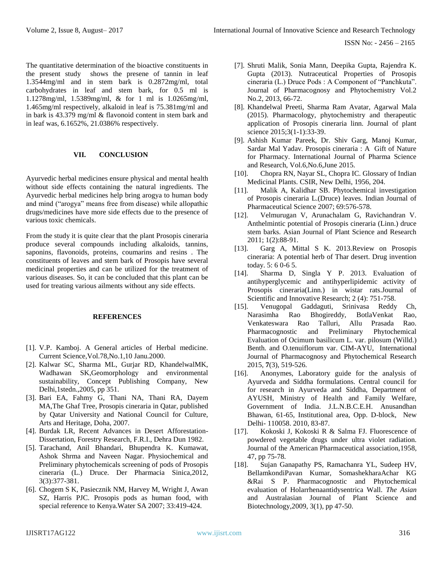ISSN No: - 2456 – 2165

The quantitative determination of the bioactive constituents in the present study shows the presene of tannin in leaf 1.3544mg/ml and in stem bark is 0.2872mg/ml, total carbohydrates in leaf and stem bark, for 0.5 ml is 1.1278mg/ml, 1.5389mg/ml, & for 1 ml is 1.0265mg/ml, 1.465mg/ml respectively, alkaloid in leaf is 75.381mg/ml and in bark is 43.379 mg/ml & flavonoid content in stem bark and in leaf was, 6.1652%, 21.0386% respectively.

# **VII. CONCLUSION**

Ayurvedic herbal medicines ensure physical and mental health without side effects containing the natural ingredients. The Ayurvedic herbal medicines help bring arogya to human body and mind ("arogya" means free from disease) while allopathic drugs/medicines have more side effects due to the presence of various toxic chemicals.

From the study it is quite clear that the plant Prosopis cineraria produce several compounds including alkaloids, tannins, saponins, flavonoids, proteins, coumarins and resins . The constituents of leaves and stem bark of Prosopis have several medicinal properties and can be utilized for the treatment of various diseases. So, it can be concluded that this plant can be used for treating various ailments without any side effects.

#### **REFERENCES**

- [1]. V.P. Kamboj. A General articles of Herbal medicine. Current Science,Vol.78,No.1,10 Janu.2000.
- [2]. Kalwar SC, Sharma ML, Gurjar RD, KhandelwalMK, Wadhawan SK,Geomorphology and environmental sustainability, Concept Publishing Company, New Delhi,1stedn.,2005, pp 351.
- [3]. Bari EA, Fahmy G, Thani NA, Thani RA, Dayem MA,The Ghaf Tree, Prosopis cineraria in Qatar, published by Qatar University and National Council for Culture, Arts and Heritage, Doha, 2007.
- [4]. Burdak LR, Recent Advances in Desert Afforestation-Dissertation, Forestry Research, F.R.I., Dehra Dun 1982.
- [5]. Tarachand, Anil Bhandari, Bhupendra K. Kumawat, Ashok Shrma and Naveen Nagar. Physiochemical and Preliminary phytochemicals screening of pods of Prosopis cineraria (L.) Druce. Der Pharmacia Sinica,2012, 3(3):377-381.
- [6]. Chogem S K, Pasiecznik NM, Harvey M, Wright J, Awan SZ, Harris PJC. Prosopis pods as human food, with special reference to Kenya.Water SA 2007; 33:419-424.
- [7]. Shruti Malik, Sonia Mann, Deepika Gupta, Rajendra K. Gupta (2013). Nutraceutical Properties of Prosopis cineraria (L.) Druce Pods : A Component of "Panchkuta". Journal of Pharmacognosy and Phytochemistry Vol.2 No.2, 2013, 66-72.
- [8]. Khandelwal Preeti, Sharma Ram Avatar, Agarwal Mala (2015). Pharmacology, phytochemistry and therapeutic application of Prosopis cineraria linn. Journal of plant science 2015;3(1-1):33-39.
- [9]. Ashish Kumar Pareek, Dr. Shiv Garg, Manoj Kumar, Sardar Mal Yadav. Prosopis cineraria : A Gift of Nature for Pharmacy. International Journal of Pharma Science and Research, Vol.6,No.6,June 2015.
- [10]. Chopra RN, Nayar SL, Chopra IC. Glossary of Indian Medicinal Plants. CSIR, New Delhi, 1956, 204.
- [11]. Malik A, Kalidhar SB. Phytochemical investigation of Prosopis cineraria L.(Druce) leaves. Indian Journal of Pharmaceutical Science 2007; 69:576-578.
- [12]. Velmurugan V, Arunachalam G, Ravichandran V. Anthelmintic potential of Prosopis cineraria (Linn.) druce stem barks. Asian Journal of Plant Science and Research 2011; 1(2):88-91.
- [13]. Garg A, Mittal S K. 2013. Review on Prosopis cineraria: A potential herb of Thar desert. Drug invention today. 5: 6 0-6 5.
- [14]. Sharma D, Singla Y P. 2013. Evaluation of antihyperglycemic and antihyperlipidemic activity of Prosopis cineraria(Linn.) in wistar rats.Journal of Scientific and Innovative Research; 2 (4): 751-758.
- [15]. Venugopal Gaddaguti, Srinivasa Reddy Ch, Narasimha Rao Bhogireddy, BotlaVenkat Rao, Venkateswara Rao Talluri, Allu Prasada Rao. Pharmacognostic and Preliminary Phytochemical Evaluation of Ocimum basilicum L. var. pilosum (Willd.) Benth. and O.tenuiflorum var. CIM-AYU, International Journal of Pharmacognosy and Phytochemical Research 2015, **7**(3), 519-526.
- [16]. Anonymes, Laboratory guide for the analysis of Ayurveda and Siddha formulations. Central council for for research in Ayurveda and Siddha, Department of AYUSH, Ministry of Health and Family Welfare, Government of India. J.L.N.B.C.E.H. Anusandhan Bhawan, 61-65, Institutional area, Opp. D-block, New Delhi- 110058. 2010, 83-87.
- [17]. Kokoski J, Kokoski R & Salma FJ. Fluorescence of powdered vegetable drugs under ultra violet radiation. Journal of the American Pharmaceutical association,1958, 47, pp 75-78.
- [18]. Sujan Ganapathy PS, Ramachanra YL, Sudeep HV, BellamkondiPavan Kumar, SomashekharaAchar KG &Rai S P. Pharmacognostic and Phytochemical evaluation of Holarrhenaantidysentrica Wall. *The Asian*  and Australasian Journal of Plant Science and Biotechnology,2009, 3(1), pp 47-50.